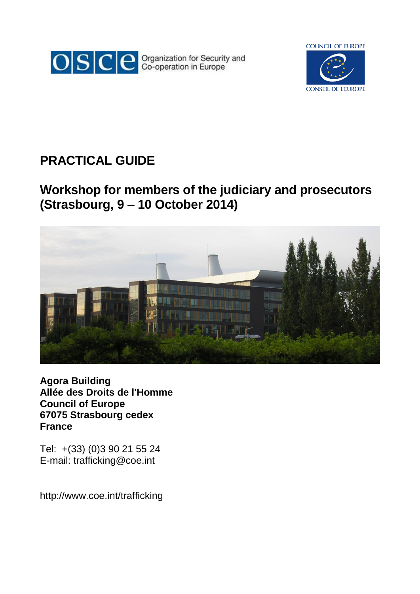



# **PRACTICAL GUIDE**

# **Workshop for members of the judiciary and prosecutors (Strasbourg, 9 – 10 October 2014)**



**Agora Building Allée des Droits de l'Homme Council of Europe 67075 Strasbourg cedex France**

Tel: +(33) (0)3 90 21 55 24 E-mail: trafficking@coe.int

http://www.coe.int/trafficking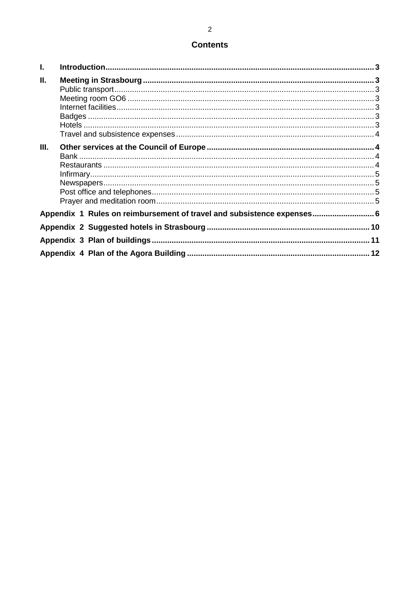# **Contents**

| $\mathbf{L}$ |                                                                        | $\mathbf{R}$ |
|--------------|------------------------------------------------------------------------|--------------|
| Ш.           |                                                                        |              |
| III.         |                                                                        |              |
|              | Appendix 1 Rules on reimbursement of travel and subsistence expenses 6 |              |
|              |                                                                        |              |
|              |                                                                        |              |
|              |                                                                        |              |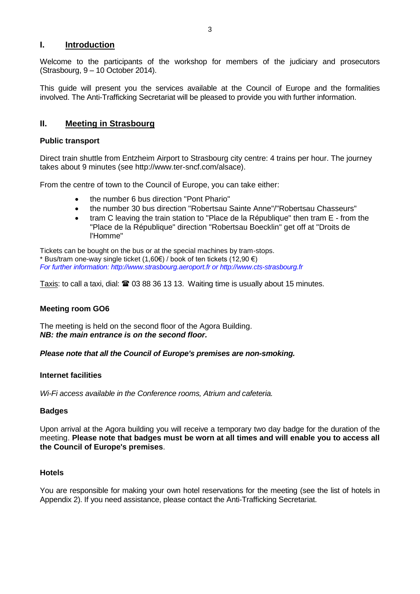#### <span id="page-2-0"></span>**I. Introduction**

Welcome to the participants of the workshop for members of the judiciary and prosecutors (Strasbourg, 9 – 10 October 2014).

This guide will present you the services available at the Council of Europe and the formalities involved. The Anti-Trafficking Secretariat will be pleased to provide you with further information.

## <span id="page-2-1"></span>**II. Meeting in Strasbourg**

#### <span id="page-2-2"></span>**Public transport**

Direct train shuttle from Entzheim Airport to Strasbourg city centre: 4 trains per hour. The journey takes about 9 minutes (see http://www.ter-sncf.com/alsace).

From the centre of town to the Council of Europe, you can take either:

- the number 6 bus direction "Pont Phario"
- the number 30 bus direction "Robertsau Sainte Anne"/"Robertsau Chasseurs"
- tram C leaving the train station to "Place de la République" then tram E from the "Place de la République" direction "Robertsau Boecklin" get off at "Droits de l'Homme"

Tickets can be bought on the bus or at the special machines by tram-stops. \* Bus/tram one-way single ticket (1,60€) / book of ten tickets (12,90 €) *For further information: http://www.strasbourg.aeroport.fr or http://www.cts-strasbourg.fr*

Taxis: to call a taxi, dial:  $\mathbf{\mathcal{D}}$  03 88 36 13 13. Waiting time is usually about 15 minutes.

#### <span id="page-2-3"></span>**Meeting room GO6**

The meeting is held on the second floor of the Agora Building. *NB: the main entrance is on the second floor.*

#### *Please note that all the Council of Europe's premises are non-smoking.*

#### <span id="page-2-4"></span>**Internet facilities**

*Wi-Fi access available in the Conference rooms, Atrium and cafeteria.*

#### <span id="page-2-5"></span>**Badges**

Upon arrival at the Agora building you will receive a temporary two day badge for the duration of the meeting. **Please note that badges must be worn at all times and will enable you to access all the Council of Europe's premises**.

#### <span id="page-2-6"></span>**Hotels**

You are responsible for making your own hotel reservations for the meeting (see the list of hotels in Appendix 2). If you need assistance, please contact the Anti-Trafficking Secretariat.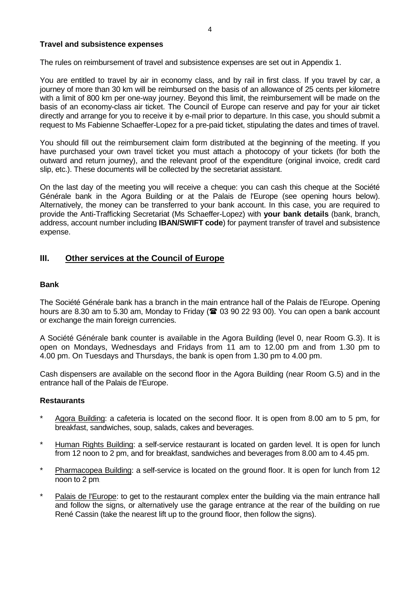#### <span id="page-3-0"></span>**Travel and subsistence expenses**

The rules on reimbursement of travel and subsistence expenses are set out in Appendix 1.

You are entitled to travel by air in economy class, and by rail in first class. If you travel by car, a journey of more than 30 km will be reimbursed on the basis of an allowance of 25 cents per kilometre with a limit of 800 km per one-way journey. Beyond this limit, the reimbursement will be made on the basis of an economy-class air ticket. The Council of Europe can reserve and pay for your air ticket directly and arrange for you to receive it by e-mail prior to departure. In this case, you should submit a request to Ms Fabienne Schaeffer-Lopez for a pre-paid ticket, stipulating the dates and times of travel.

You should fill out the reimbursement claim form distributed at the beginning of the meeting. If you have purchased your own travel ticket you must attach a photocopy of your tickets (for both the outward and return journey), and the relevant proof of the expenditure (original invoice, credit card slip, etc.). These documents will be collected by the secretariat assistant.

On the last day of the meeting you will receive a cheque: you can cash this cheque at the Société Générale bank in the Agora Building or at the Palais de l'Europe (see opening hours below). Alternatively, the money can be transferred to your bank account. In this case, you are required to provide the Anti-Trafficking Secretariat (Ms Schaeffer-Lopez) with **your bank details** (bank, branch, address, account number including **IBAN/SWIFT code**) for payment transfer of travel and subsistence expense.

## <span id="page-3-1"></span>**III. Other services at the Council of Europe**

#### <span id="page-3-2"></span>**Bank**

The Société Générale bank has a branch in the main entrance hall of the Palais de l'Europe. Opening hours are 8.30 am to 5.30 am, Monday to Friday ( $\approx$  03 90 22 93 00). You can open a bank account or exchange the main foreign currencies.

A Société Générale bank counter is available in the Agora Building (level 0, near Room G.3). It is open on Mondays, Wednesdays and Fridays from 11 am to 12.00 pm and from 1.30 pm to 4.00 pm. On Tuesdays and Thursdays, the bank is open from 1.30 pm to 4.00 pm.

Cash dispensers are available on the second floor in the Agora Building (near Room G.5) and in the entrance hall of the Palais de l'Europe.

#### <span id="page-3-3"></span>**Restaurants**

- \* Agora Building: a cafeteria is located on the second floor. It is open from 8.00 am to 5 pm, for breakfast, sandwiches, soup, salads, cakes and beverages.
- Human Rights Building: a self-service restaurant is located on garden level. It is open for lunch from 12 noon to 2 pm, and for breakfast, sandwiches and beverages from 8.00 am to 4.45 pm.
- \* Pharmacopea Building: a self-service is located on the ground floor. It is open for lunch from 12 noon to 2 pm.
- Palais de l'Europe: to get to the restaurant complex enter the building via the main entrance hall and follow the signs, or alternatively use the garage entrance at the rear of the building on rue René Cassin (take the nearest lift up to the ground floor, then follow the signs).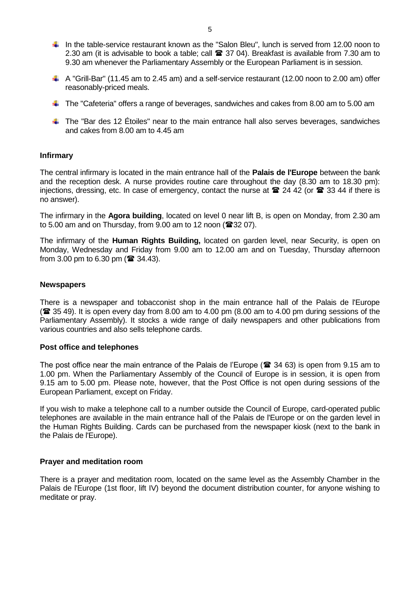- In the table-service restaurant known as the "Salon Bleu", lunch is served from 12.00 noon to 2.30 am (it is advisable to book a table; call  $\mathbf{\mathcal{Z}}$  37 04). Breakfast is available from 7.30 am to 9.30 am whenever the Parliamentary Assembly or the European Parliament is in session.
- A "Grill-Bar" (11.45 am to 2.45 am) and a self-service restaurant (12.00 noon to 2.00 am) offer reasonably-priced meals.
- The "Cafeteria" offers a range of beverages, sandwiches and cakes from 8.00 am to 5.00 am
- The "Bar des 12 Étoiles" near to the main entrance hall also serves beverages, sandwiches and cakes from 8.00 am to 4.45 am

#### <span id="page-4-0"></span>**Infirmary**

The central infirmary is located in the main entrance hall of the **Palais de l'Europe** between the bank and the reception desk. A nurse provides routine care throughout the day (8.30 am to 18.30 pm): injections, dressing, etc. In case of emergency, contact the nurse at  $\approx$  24 42 (or  $\approx$  33 44 if there is no answer).

The infirmary in the **Agora building**, located on level 0 near lift B, is open on Monday, from 2.30 am to 5.00 am and on Thursday, from 9.00 am to 12 noon ( $\mathbf{\mathcal{F}}32$  07).

The infirmary of the **Human Rights Building,** located on garden level, near Security, is open on Monday, Wednesday and Friday from 9.00 am to 12.00 am and on Tuesday, Thursday afternoon from 3.00 pm to 6.30 pm ( $\hat{ }$  34.43).

#### <span id="page-4-1"></span>**Newspapers**

There is a newspaper and tobacconist shop in the main entrance hall of the Palais de l'Europe ( 35 49). It is open every day from 8.00 am to 4.00 pm (8.00 am to 4.00 pm during sessions of the Parliamentary Assembly). It stocks a wide range of daily newspapers and other publications from various countries and also sells telephone cards.

#### <span id="page-4-2"></span>**Post office and telephones**

The post office near the main entrance of the Palais de l'Europe ( $\approx$  34 63) is open from 9.15 am to 1.00 pm. When the Parliamentary Assembly of the Council of Europe is in session, it is open from 9.15 am to 5.00 pm. Please note, however, that the Post Office is not open during sessions of the European Parliament, except on Friday.

If you wish to make a telephone call to a number outside the Council of Europe, card-operated public telephones are available in the main entrance hall of the Palais de l'Europe or on the garden level in the Human Rights Building. Cards can be purchased from the newspaper kiosk (next to the bank in the Palais de l'Europe).

#### <span id="page-4-3"></span>**Prayer and meditation room**

<span id="page-4-4"></span>There is a prayer and meditation room, located on the same level as the Assembly Chamber in the Palais de l'Europe (1st floor, lift IV) beyond the document distribution counter, for anyone wishing to meditate or pray.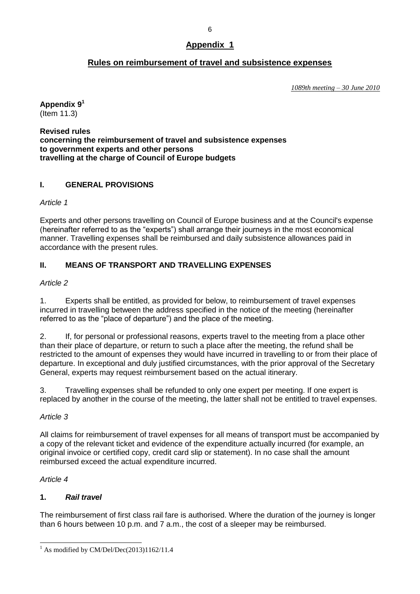## **Rules on reimbursement of travel and subsistence expenses**

*1089th meeting – 30 June 2010*

#### **Appendix 9<sup>1</sup>** (Item 11.3)

**Revised rules concerning the reimbursement of travel and subsistence expenses to government experts and other persons travelling at the charge of Council of Europe budgets**

## **I. GENERAL PROVISIONS**

*Article 1*

Experts and other persons travelling on Council of Europe business and at the Council's expense (hereinafter referred to as the "experts") shall arrange their journeys in the most economical manner. Travelling expenses shall be reimbursed and daily subsistence allowances paid in accordance with the present rules.

## **II. MEANS OF TRANSPORT AND TRAVELLING EXPENSES**

### *Article 2*

1. Experts shall be entitled, as provided for below, to reimbursement of travel expenses incurred in travelling between the address specified in the notice of the meeting (hereinafter referred to as the "place of departure") and the place of the meeting.

2. If, for personal or professional reasons, experts travel to the meeting from a place other than their place of departure, or return to such a place after the meeting, the refund shall be restricted to the amount of expenses they would have incurred in travelling to or from their place of departure. In exceptional and duly justified circumstances, with the prior approval of the Secretary General, experts may request reimbursement based on the actual itinerary.

3. Travelling expenses shall be refunded to only one expert per meeting. If one expert is replaced by another in the course of the meeting, the latter shall not be entitled to travel expenses.

## *Article 3*

All claims for reimbursement of travel expenses for all means of transport must be accompanied by a copy of the relevant ticket and evidence of the expenditure actually incurred (for example, an original invoice or certified copy, credit card slip or statement). In no case shall the amount reimbursed exceed the actual expenditure incurred.

## *Article 4*

## **1.** *Rail travel*

The reimbursement of first class rail fare is authorised. Where the duration of the journey is longer than 6 hours between 10 p.m. and 7 a.m., the cost of a sleeper may be reimbursed.

 $\overline{a}$  $<sup>1</sup>$  As modified by CM/Del/Dec(2013)1162/11.4</sup>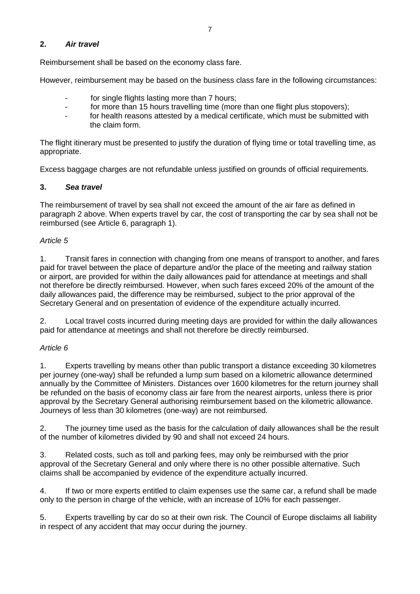### **2.** *Air travel*

Reimbursement shall be based on the economy class fare.

However, reimbursement may be based on the business class fare in the following circumstances:

- for single flights lasting more than 7 hours;
- for more than 15 hours travelling time (more than one flight plus stopovers);
- for health reasons attested by a medical certificate, which must be submitted with the claim form.

The flight itinerary must be presented to justify the duration of flying time or total travelling time, as appropriate.

Excess baggage charges are not refundable unless justified on grounds of official requirements.

### **3.** *Sea travel*

The reimbursement of travel by sea shall not exceed the amount of the air fare as defined in paragraph 2 above. When experts travel by car, the cost of transporting the car by sea shall not be reimbursed (see Article 6, paragraph 1).

### *Article 5*

1. Transit fares in connection with changing from one means of transport to another, and fares paid for travel between the place of departure and/or the place of the meeting and railway station or airport, are provided for within the daily allowances paid for attendance at meetings and shall not therefore be directly reimbursed. However, when such fares exceed 20% of the amount of the daily allowances paid, the difference may be reimbursed, subject to the prior approval of the Secretary General and on presentation of evidence of the expenditure actually incurred.

2. Local travel costs incurred during meeting days are provided for within the daily allowances paid for attendance at meetings and shall not therefore be directly reimbursed.

#### *Article 6*

1. Experts travelling by means other than public transport a distance exceeding 30 kilometres per journey (one-way) shall be refunded a lump sum based on a kilometric allowance determined annually by the Committee of Ministers. Distances over 1600 kilometres for the return journey shall be refunded on the basis of economy class air fare from the nearest airports, unless there is prior approval by the Secretary General authorising reimbursement based on the kilometric allowance. Journeys of less than 30 kilometres (one-way) are not reimbursed.

2. The journey time used as the basis for the calculation of daily allowances shall be the result of the number of kilometres divided by 90 and shall not exceed 24 hours.

3. Related costs, such as toll and parking fees, may only be reimbursed with the prior approval of the Secretary General and only where there is no other possible alternative. Such claims shall be accompanied by evidence of the expenditure actually incurred.

4. If two or more experts entitled to claim expenses use the same car, a refund shall be made only to the person in charge of the vehicle, with an increase of 10% for each passenger.

5. Experts travelling by car do so at their own risk. The Council of Europe disclaims all liability in respect of any accident that may occur during the journey.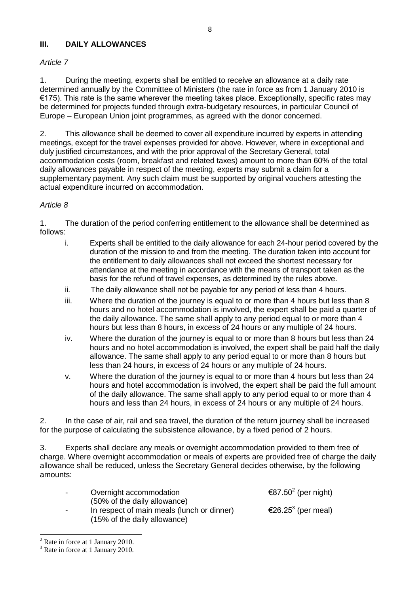#### **III. DAILY ALLOWANCES**

#### *Article 7*

1. During the meeting, experts shall be entitled to receive an allowance at a daily rate determined annually by the Committee of Ministers (the rate in force as from 1 January 2010 is €175). This rate is the same wherever the meeting takes place. Exceptionally, specific rates may be determined for projects funded through extra-budgetary resources, in particular Council of Europe – European Union joint programmes, as agreed with the donor concerned.

2. This allowance shall be deemed to cover all expenditure incurred by experts in attending meetings, except for the travel expenses provided for above. However, where in exceptional and duly justified circumstances, and with the prior approval of the Secretary General, total accommodation costs (room, breakfast and related taxes) amount to more than 60% of the total daily allowances payable in respect of the meeting, experts may submit a claim for a supplementary payment. Any such claim must be supported by original vouchers attesting the actual expenditure incurred on accommodation.

#### *Article 8*

1. The duration of the period conferring entitlement to the allowance shall be determined as follows:

- i. Experts shall be entitled to the daily allowance for each 24-hour period covered by the duration of the mission to and from the meeting. The duration taken into account for the entitlement to daily allowances shall not exceed the shortest necessary for attendance at the meeting in accordance with the means of transport taken as the basis for the refund of travel expenses, as determined by the rules above.
- ii. The daily allowance shall not be payable for any period of less than 4 hours.
- iii. Where the duration of the journey is equal to or more than 4 hours but less than 8 hours and no hotel accommodation is involved, the expert shall be paid a quarter of the daily allowance. The same shall apply to any period equal to or more than 4 hours but less than 8 hours, in excess of 24 hours or any multiple of 24 hours.
- iv. Where the duration of the journey is equal to or more than 8 hours but less than 24 hours and no hotel accommodation is involved, the expert shall be paid half the daily allowance. The same shall apply to any period equal to or more than 8 hours but less than 24 hours, in excess of 24 hours or any multiple of 24 hours.
- v. Where the duration of the journey is equal to or more than 4 hours but less than 24 hours and hotel accommodation is involved, the expert shall be paid the full amount of the daily allowance. The same shall apply to any period equal to or more than 4 hours and less than 24 hours, in excess of 24 hours or any multiple of 24 hours.

2. In the case of air, rail and sea travel, the duration of the return journey shall be increased for the purpose of calculating the subsistence allowance, by a fixed period of 2 hours.

3. Experts shall declare any meals or overnight accommodation provided to them free of charge. Where overnight accommodation or meals of experts are provided free of charge the daily allowance shall be reduced, unless the Secretary General decides otherwise, by the following amounts:

| $\sim$                   | Overnight accommodation                                                                                    | €87.50 <sup>2</sup> (per night) |
|--------------------------|------------------------------------------------------------------------------------------------------------|---------------------------------|
| $\overline{\phantom{a}}$ | (50% of the daily allowance)<br>In respect of main meals (lunch or dinner)<br>(15% of the daily allowance) | €26.25 <sup>3</sup> (per meal)  |

<sup>-</sup><sup>2</sup> Rate in force at 1 January 2010.

<sup>&</sup>lt;sup>3</sup> Rate in force at 1 January 2010.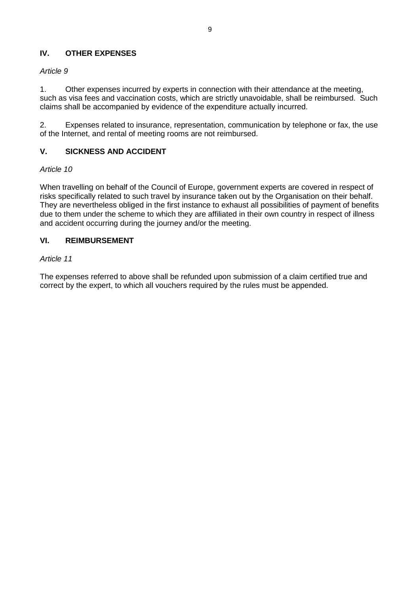## **IV. OTHER EXPENSES**

## *Article 9*

1. Other expenses incurred by experts in connection with their attendance at the meeting, such as visa fees and vaccination costs, which are strictly unavoidable, shall be reimbursed. Such claims shall be accompanied by evidence of the expenditure actually incurred.

2. Expenses related to insurance, representation, communication by telephone or fax, the use of the Internet, and rental of meeting rooms are not reimbursed.

## **V. SICKNESS AND ACCIDENT**

### *Article 10*

When travelling on behalf of the Council of Europe, government experts are covered in respect of risks specifically related to such travel by insurance taken out by the Organisation on their behalf. They are nevertheless obliged in the first instance to exhaust all possibilities of payment of benefits due to them under the scheme to which they are affiliated in their own country in respect of illness and accident occurring during the journey and/or the meeting.

### **VI. REIMBURSEMENT**

#### *Article 11*

The expenses referred to above shall be refunded upon submission of a claim certified true and correct by the expert, to which all vouchers required by the rules must be appended.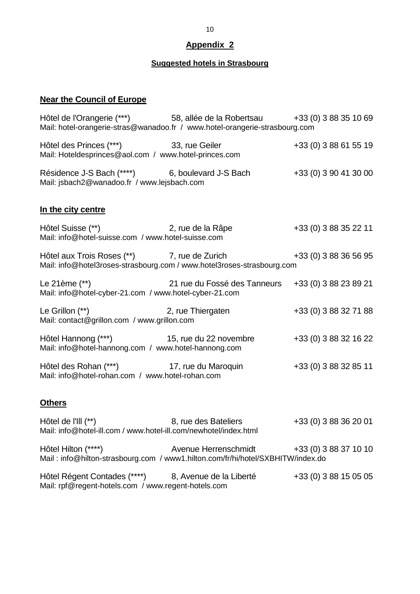# **Appendix 2**

# **Suggested hotels in Strasbourg**

# <span id="page-9-0"></span>**Near the Council of Europe**

| Hôtel de l'Orangerie (***) 58, allée de la Robertsau +33 (0) 3 88 35 10 69<br>Mail: hotel-orangerie-stras@wanadoo.fr / www.hotel-orangerie-strasbourg.com |                                            |                       |
|-----------------------------------------------------------------------------------------------------------------------------------------------------------|--------------------------------------------|-----------------------|
| Hôtel des Princes (***) 33, rue Geiler<br>Mail: Hoteldesprinces@aol.com / www.hotel-princes.com                                                           |                                            | +33 (0) 3 88 61 55 19 |
| Résidence J-S Bach (****) 6, boulevard J-S Bach<br>Mail: jsbach2@wanadoo.fr / www.lejsbach.com                                                            |                                            | +33 (0) 3 90 41 30 00 |
| In the city centre                                                                                                                                        |                                            |                       |
| Hôtel Suisse (**) 2, rue de la Râpe<br>Mail: info@hotel-suisse.com / www.hotel-suisse.com                                                                 |                                            | +33 (0) 3 88 35 22 11 |
| Hôtel aux Trois Roses (**) 7, rue de Zurich<br>Mail: info@hotel3roses-strasbourg.com / www.hotel3roses-strasbourg.com                                     |                                            | +33 (0) 3 88 36 56 95 |
| Le 21ème $(**)$<br>Mail: info@hotel-cyber-21.com / www.hotel-cyber-21.com                                                                                 | 21 rue du Fossé des Tanneurs               | +33 (0) 3 88 23 89 21 |
| Le Grillon (**) 2, rue Thiergaten<br>Mail: contact@grillon.com / www.grillon.com                                                                          |                                            | +33 (0) 3 88 32 71 88 |
| Hôtel Hannong (***) 15, rue du 22 novembre<br>Mail: info@hotel-hannong.com / www.hotel-hannong.com                                                        |                                            | +33 (0) 3 88 32 16 22 |
| Hôtel des Rohan (***) 17, rue du Maroquin<br>Mail: info@hotel-rohan.com / www.hotel-rohan.com                                                             |                                            | +33 (0) 3 88 32 85 11 |
| <b>Others</b>                                                                                                                                             |                                            |                       |
| Hôtel de l'III (**)<br>Mail: info@hotel-ill.com / www.hotel-ill.com/newhotel/index.html                                                                   | 8, rue des Bateliers                       | +33 (0) 3 88 36 20 01 |
| Hôtel Hilton (****)<br>Mail: info@hilton-strasbourg.com / www1.hilton.com/fr/hi/hotel/SXBHITW/index.do                                                    | Avenue Herrenschmidt +33 (0) 3 88 37 10 10 |                       |

Hôtel Régent Contades (\*\*\*\*) 8, Avenue de la Liberté +33 (0) 3 88 15 05 05 Mail: rpf@regent-hotels.com / www.regent-hotels.com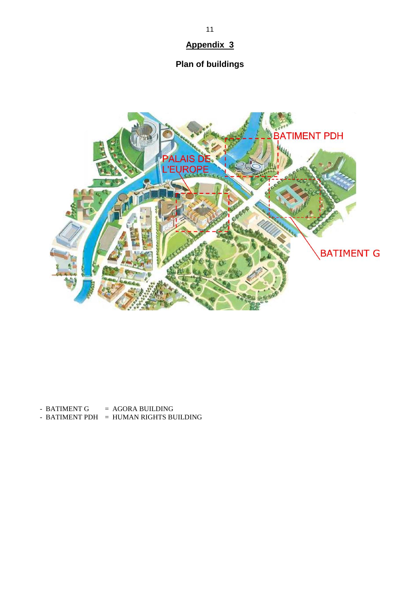# **Appendix 3**

# **Plan of buildings**

<span id="page-10-0"></span>

- BATIMENT G  $= AGORA$  BUILDING

 $-$  BATIMENT PDH  $=$  HUMAN RIGHTS BUILDING